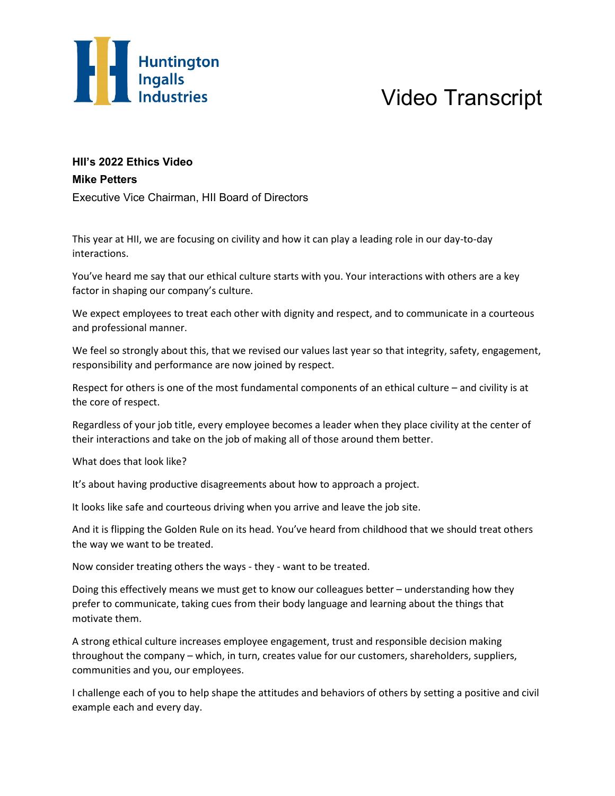

## Video Transcript

## **HII's 2022 Ethics Video Mike Petters**

Executive Vice Chairman, HII Board of Directors

This year at HII, we are focusing on civility and how it can play a leading role in our day-to-day interactions.

You've heard me say that our ethical culture starts with you. Your interactions with others are a key factor in shaping our company's culture.

We expect employees to treat each other with dignity and respect, and to communicate in a courteous and professional manner.

We feel so strongly about this, that we revised our values last year so that integrity, safety, engagement, responsibility and performance are now joined by respect.

Respect for others is one of the most fundamental components of an ethical culture – and civility is at the core of respect.

Regardless of your job title, every employee becomes a leader when they place civility at the center of their interactions and take on the job of making all of those around them better.

What does that look like?

It's about having productive disagreements about how to approach a project.

It looks like safe and courteous driving when you arrive and leave the job site.

And it is flipping the Golden Rule on its head. You've heard from childhood that we should treat others the way we want to be treated.

Now consider treating others the ways - they - want to be treated.

Doing this effectively means we must get to know our colleagues better – understanding how they prefer to communicate, taking cues from their body language and learning about the things that motivate them.

A strong ethical culture increases employee engagement, trust and responsible decision making throughout the company – which, in turn, creates value for our customers, shareholders, suppliers, communities and you, our employees.

I challenge each of you to help shape the attitudes and behaviors of others by setting a positive and civil example each and every day.